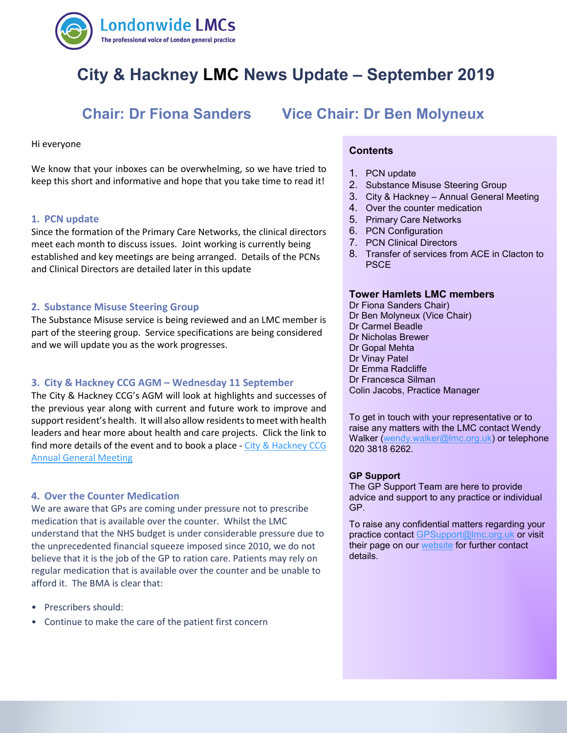

# **City & Hackney LMC News Update – September 2019**

#### Hi everyone

 keep this short and informative and hope that you take time to read it! We know that your inboxes can be overwhelming, so we have tried to

#### **1. PCN update**

Since the formation of the Primary Care Networks, the clinical directors meet each month to discuss issues. Joint working is currently being established and key meetings are being arranged. Details of the PCNs and Clinical Directors are detailed later in this update

#### **2. Substance Misuse Steering Group**

The Substance Misuse service is being reviewed and an LMC member is part of the steering group. Service specifications are being considered and we will update you as the work progresses.

#### **3. City & Hackney CCG AGM – Wednesday 11 September**

The City & Hackney CCG's AGM will look at highlights and successes of the previous year along with current and future work to improve and support resident's health. It will also allow residents to meet with health leaders and hear more about health and care projects. Click the link to find more details of the event and to book a place - City & Hackney CCG [Annual General Meeting](https://www.eventbrite.co.uk/e/city-and-hackney-ccg-annual-general-meeting-2019-tickets-67040631333)

#### **4. Over the Counter Medication**

We are aware that GPs are coming under pressure not to prescribe medication that is available over the counter. Whilst the LMC understand that the NHS budget is under considerable pressure due to the unprecedented financial squeeze imposed since 2010, we do not believe that it is the job of the GP to ration care. Patients may rely on regular medication that is available over the counter and be unable to afford it. The BMA is clear that:

- Prescribers should:
- Continue to make the care of the patient first concern

## **Chair: Dr Fiona Sanders Vice Chair: Dr Ben Molyneux**

#### **Contents**

- 1. PCN update
- 2. Substance Misuse Steering Group
- 3. City & Hackney Annual General Meeting
- 4. Over the counter medication
- 5. Primary Care Networks
- 6. PCN Configuration
- 7. PCN Clinical Directors
- 8. Transfer of services from ACE in Clacton to PSCE

#### **Tower Hamlets LMC members**

Dr Fiona Sanders Chair) Dr Ben Molyneux (Vice Chair) Dr Carmel Beadle Dr Nicholas Brewer Dr Gopal Mehta Dr Vinay Patel Dr Emma Radcliffe Dr Francesca Silman Colin Jacobs, Practice Manager

To get in touch with your representative or to raise any matters with the LMC contact Wendy Walker [\(wendy.walker@lmc.org.uk\)](mailto:wendy.walker@lmc.org.uk) or telephone 020 3818 6262.

#### **GP Support**

The GP Support Team are here to provide advice and support to any practice or individual GP.

To raise any confidential matters regarding your practice contact [GPSupport@lmc.org.uk](mailto:GPSupport@lmc.org.uk) or visit their page on our [website](https://www.lmc.org.uk/page.php?id=39) for further contact details.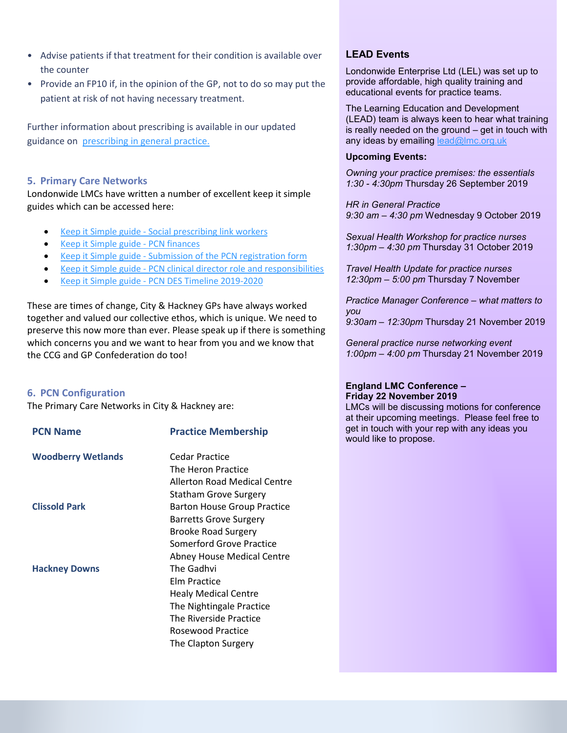- Advise patients if that treatment for their condition is available over the counter
- Provide an FP10 if, in the opinion of the GP, not to do so may put the patient at risk of not having necessary treatment.

Further information about prescribing is available in our updated guidance on [prescribing in general practice.](https://www.bma.org.uk/advice/employment/gp-practices/service-provision/prescribing/prescribing-in-general-practice)

#### **5. Primary Care Networks**

Londonwide LMCs have written a number of excellent keep it simple guides which can be accessed here:

- Keep it Simple guide [Social prescribing link workers](https://www.lmc.org.uk/visageimages/GP%20Contract%202019/KIS_Social_Prescriber_V1.pdf)
- Keep it [Simple guide -](https://www.lmc.org.uk/visageimages/GP%20Contract%202019/KISPCNFinancesv1.pdf) PCN finances
- Keep it Simple guide [Submission of the PCN registration form](https://www.lmc.org.uk/visageimages/GP%20Contract%202019/KIS_PCN_DES_v1.pdf)
- Keep it Simple guide [PCN clinical director role and responsibilities](https://www.lmc.org.uk/visageimages/GP%20Contract%202019/KIS_Clinical_Director_JD_v1.pdf)
- Keep it Simple guide [PCN DES Timeline 2019-2020](https://www.lmc.org.uk/visageimages/GP%20Contract%202019/KIS_PCN%20deadlines%20v1%20June%202019%20update.pdf)

These are times of change, City & Hackney GPs have always worked together and valued our collective ethos, which is unique. We need to preserve this now more than ever. Please speak up if there is something which concerns you and we want to hear from you and we know that the CCG and GP Confederation do too!

#### **6. PCN Configuration**

The Primary Care Networks in City & Hackney are:

| <b>PCN Name</b>           | <b>Practice Membership</b>         |
|---------------------------|------------------------------------|
| <b>Woodberry Wetlands</b> | Cedar Practice                     |
|                           | The Heron Practice                 |
|                           | Allerton Road Medical Centre       |
|                           | <b>Statham Grove Surgery</b>       |
| <b>Clissold Park</b>      | <b>Barton House Group Practice</b> |
|                           | <b>Barretts Grove Surgery</b>      |
|                           | <b>Brooke Road Surgery</b>         |
|                           | Somerford Grove Practice           |
|                           | <b>Abney House Medical Centre</b>  |
| <b>Hackney Downs</b>      | The Gadhvi                         |
|                           | Elm Practice                       |
|                           | <b>Healy Medical Centre</b>        |
|                           | The Nightingale Practice           |
|                           | The Riverside Practice             |
|                           | Rosewood Practice                  |
|                           | The Clapton Surgery                |
|                           |                                    |

#### **LEAD Events**

Londonwide Enterprise Ltd (LEL) was set up to provide affordable, high quality training and educational events for practice teams.

The Learning Education and Development (LEAD) team is always keen to hear what training is really needed on the ground – get in touch with any ideas by emailing lead@lmc.org.uk

#### **Upcoming Events:**

*Owning your practice premises: the essentials 1:30 - 4:30pm* Thursday 26 September 2019

*HR in General Practice 9:30 am – 4:30 pm* Wednesday 9 October 2019

*Sexual Health Workshop for practice nurses 1:30pm – 4:30 pm* Thursday 31 October 2019

*Travel Health Update for practice nurses 12:30pm – 5:00 pm* Thursday 7 November

*Practice Manager Conference – what matters to you*

*9:30am – 12:30pm* Thursday 21 November 2019

*General practice nurse networking event 1:00pm – 4:00 pm* Thursday 21 November 2019

#### **England LMC Conference – Friday 22 November 2019**

LMCs will be discussing motions for conference at their upcoming meetings. Please feel free to get in touch with your rep with any ideas you would like to propose.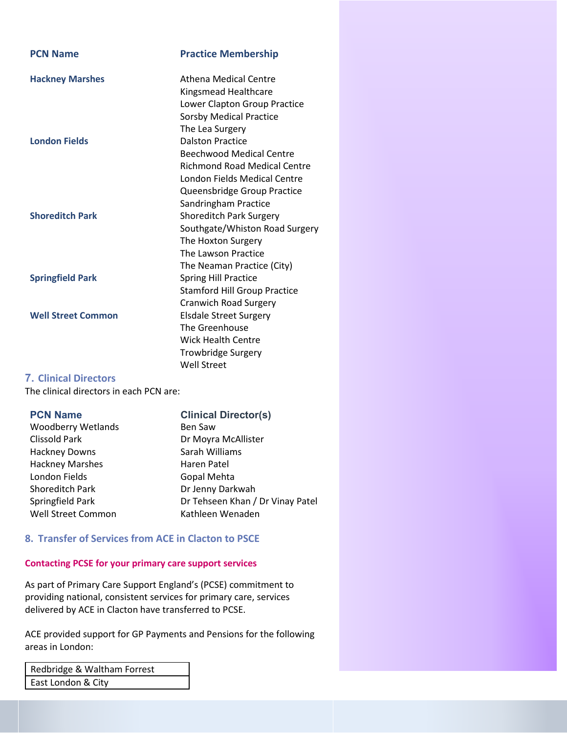| <b>PCN Name</b>           | <b>Practice Membership</b>                                                    |
|---------------------------|-------------------------------------------------------------------------------|
| <b>Hackney Marshes</b>    | Athena Medical Centre<br>Kingsmead Healthcare<br>Lower Clapton Group Practice |
|                           | <b>Sorsby Medical Practice</b>                                                |
| <b>London Fields</b>      | The Lea Surgery<br><b>Dalston Practice</b>                                    |
|                           | <b>Beechwood Medical Centre</b>                                               |
|                           | <b>Richmond Road Medical Centre</b>                                           |
|                           | London Fields Medical Centre                                                  |
|                           | Queensbridge Group Practice                                                   |
|                           | Sandringham Practice                                                          |
| <b>Shoreditch Park</b>    | <b>Shoreditch Park Surgery</b>                                                |
|                           | Southgate/Whiston Road Surgery                                                |
|                           | The Hoxton Surgery                                                            |
|                           | The Lawson Practice                                                           |
|                           | The Neaman Practice (City)                                                    |
| <b>Springfield Park</b>   | <b>Spring Hill Practice</b>                                                   |
|                           | <b>Stamford Hill Group Practice</b>                                           |
|                           | <b>Cranwich Road Surgery</b>                                                  |
| <b>Well Street Common</b> | <b>Elsdale Street Surgery</b>                                                 |
|                           | The Greenhouse                                                                |
|                           | <b>Wick Health Centre</b>                                                     |
|                           | <b>Trowbridge Surgery</b>                                                     |
|                           | <b>Well Street</b>                                                            |

### **7. Clinical Directors**

The clinical directors in each PCN are:

### **PCN Name Clinical Director(s)**

Woodberry Wetlands Ben Saw Clissold Park Dr Moyra McAllister Hackney Downs Sarah Williams Hackney Marshes **Haren Patel** London Fields Gopal Mehta Shoreditch Park Dr Jenny Darkwah Springfield Park Dr Tehseen Khan / Dr Vinay Patel Well Street Common Kathleen Wenaden

### **8. Transfer of Services from ACE in Clacton to PSCE**

#### **Contacting PCSE for your primary care support services**

As part of Primary Care Support England's (PCSE) commitment to providing national, consistent services for primary care, services delivered by ACE in Clacton have transferred to PCSE.

ACE provided support for GP Payments and Pensions for the following areas in London:

| Redbridge & Waltham Forrest |  |
|-----------------------------|--|
| East London & City          |  |